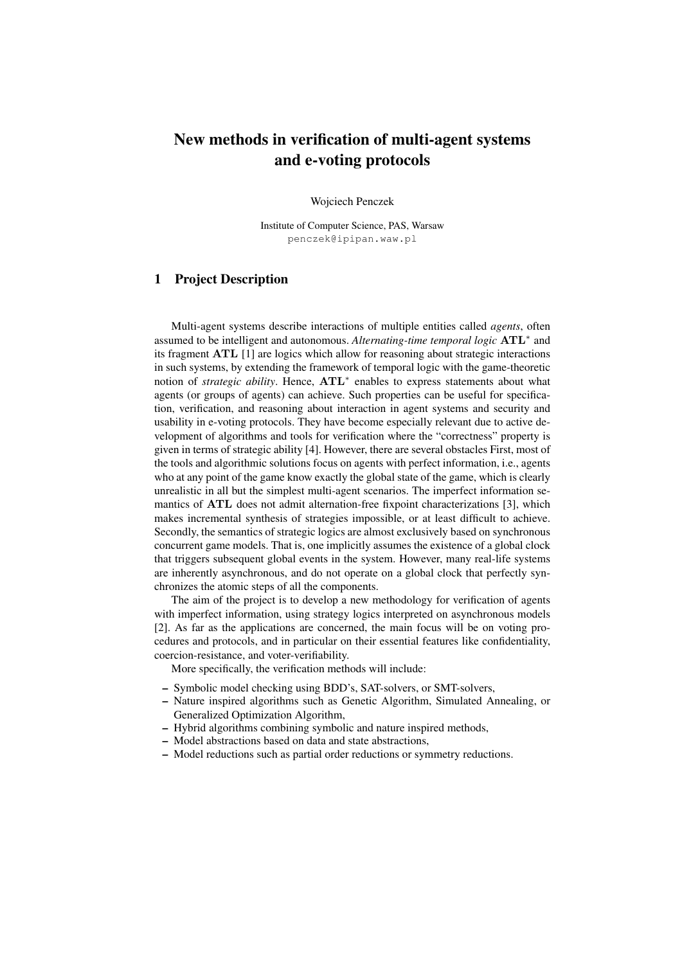## New methods in verification of multi-agent systems and e-voting protocols

Wojciech Penczek

Institute of Computer Science, PAS, Warsaw penczek@ipipan.waw.pl

## 1 Project Description

Multi-agent systems describe interactions of multiple entities called *agents*, often assumed to be intelligent and autonomous. *Alternating-time temporal logic* ATL<sup>∗</sup> and its fragment ATL [1] are logics which allow for reasoning about strategic interactions in such systems, by extending the framework of temporal logic with the game-theoretic notion of *strategic ability*. Hence, ATL<sup>∗</sup> enables to express statements about what agents (or groups of agents) can achieve. Such properties can be useful for specification, verification, and reasoning about interaction in agent systems and security and usability in e-voting protocols. They have become especially relevant due to active development of algorithms and tools for verification where the "correctness" property is given in terms of strategic ability [4]. However, there are several obstacles First, most of the tools and algorithmic solutions focus on agents with perfect information, i.e., agents who at any point of the game know exactly the global state of the game, which is clearly unrealistic in all but the simplest multi-agent scenarios. The imperfect information semantics of ATL does not admit alternation-free fixpoint characterizations [3], which makes incremental synthesis of strategies impossible, or at least difficult to achieve. Secondly, the semantics of strategic logics are almost exclusively based on synchronous concurrent game models. That is, one implicitly assumes the existence of a global clock that triggers subsequent global events in the system. However, many real-life systems are inherently asynchronous, and do not operate on a global clock that perfectly synchronizes the atomic steps of all the components.

The aim of the project is to develop a new methodology for verification of agents with imperfect information, using strategy logics interpreted on asynchronous models [2]. As far as the applications are concerned, the main focus will be on voting procedures and protocols, and in particular on their essential features like confidentiality, coercion-resistance, and voter-verifiability.

More specifically, the verification methods will include:

- Symbolic model checking using BDD's, SAT-solvers, or SMT-solvers,
- Nature inspired algorithms such as Genetic Algorithm, Simulated Annealing, or Generalized Optimization Algorithm,
- Hybrid algorithms combining symbolic and nature inspired methods,
- Model abstractions based on data and state abstractions,
- Model reductions such as partial order reductions or symmetry reductions.